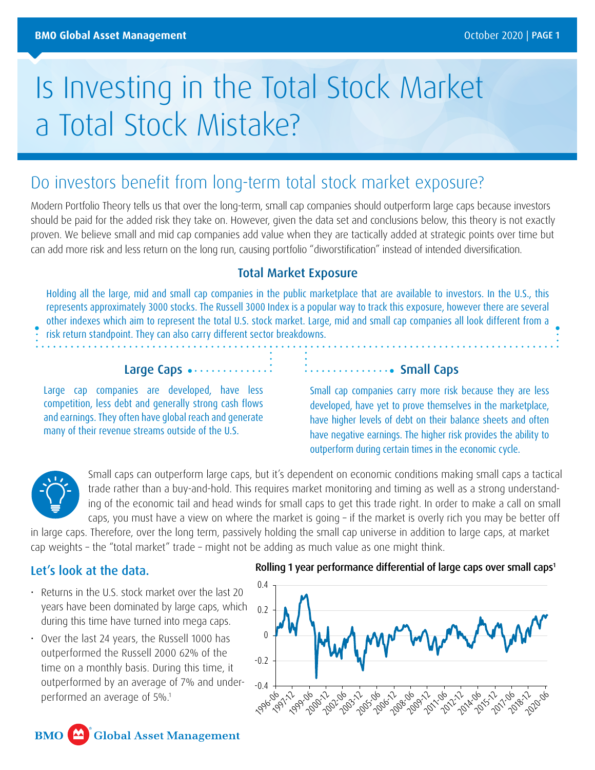# Is Investing in the Total Stock Market a Total Stock Mistake?

# Do investors benefit from long-term total stock market exposure?

Modern Portfolio Theory tells us that over the long-term, small cap companies should outperform large caps because investors should be paid for the added risk they take on. However, given the data set and conclusions below, this theory is not exactly proven. We believe small and mid cap companies add value when they are tactically added at strategic points over time but can add more risk and less return on the long run, causing portfolio "diworstification" instead of intended diversification.

# Total Market Exposure

Holding all the large, mid and small cap companies in the public marketplace that are available to investors. In the U.S., this represents approximately 3000 stocks. The Russell 3000 Index is a popular way to track this exposure, however there are several other indexes which aim to represent the total U.S. stock market. Large, mid and small cap companies all look different from a risk return standpoint. They can also carry different sector breakdowns.

#### Large Caps ...............

Large cap companies are developed, have less competition, less debt and generally strong cash flows and earnings. They often have global reach and generate many of their revenue streams outside of the U.S.

#### ..................... Small Caps

Small cap companies carry more risk because they are less developed, have yet to prove themselves in the marketplace, have higher levels of debt on their balance sheets and often have negative earnings. The higher risk provides the ability to outperform during certain times in the economic cycle.



Small caps can outperform large caps, but it's dependent on economic conditions making small caps a tactical trade rather than a buy-and-hold. This requires market monitoring and timing as well as a strong understanding of the economic tail and head winds for small caps to get this trade right. In order to make a call on small caps, you must have a view on where the market is going – if the market is overly rich you may be better off

in large caps. Therefore, over the long term, passively holding the small cap universe in addition to large caps, at market cap weights – the "total market" trade – might not be adding as much value as one might think.

### Let's look at the data.

- Returns in the U.S. stock market over the last 20 years have been dominated by large caps, which during this time have turned into mega caps.
- Over the last 24 years, the Russell 1000 has outperformed the Russell 2000 62% of the time on a monthly basis. During this time, it outperformed by an average of 7% and underperformed an average of 5%.1

#### Rolling 1 year performance differential of large caps over small caps<sup>1</sup>



**BMO Global Asset Management**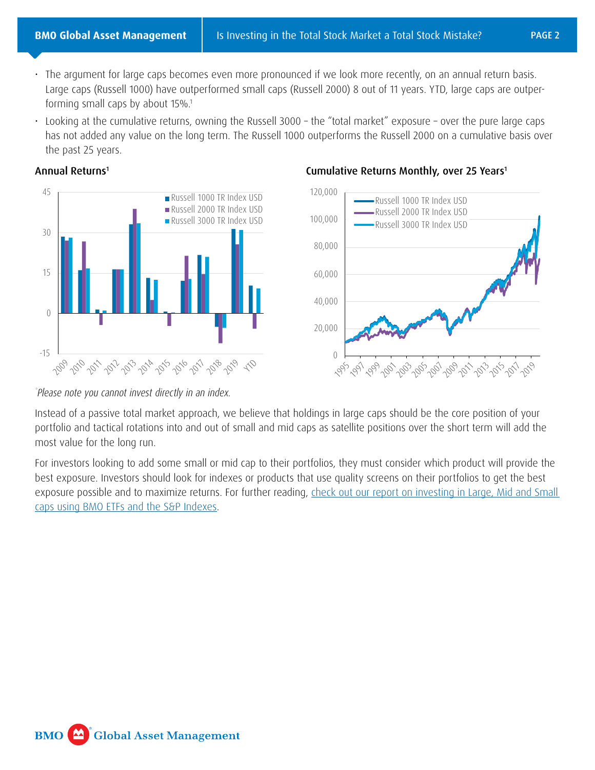- The argument for large caps becomes even more pronounced if we look more recently, on an annual return basis. Large caps (Russell 1000) have outperformed small caps (Russell 2000) 8 out of 11 years. YTD, large caps are outperforming small caps by about 15%.1
- Looking at the cumulative returns, owning the Russell 3000 the "total market" exposure over the pure large caps has not added any value on the long term. The Russell 1000 outperforms the Russell 2000 on a cumulative basis over the past 25 years.

#### Annual Returns1





# Cumulative Returns Monthly, over 25 Years<sup>1</sup>

*\* Please note you cannot invest directly in an index.*

Instead of a passive total market approach, we believe that holdings in large caps should be the core position of your portfolio and tactical rotations into and out of small and mid caps as satellite positions over the short term will add the most value for the long run.

For investors looking to add some small or mid cap to their portfolios, they must consider which product will provide the best exposure. Investors should look for indexes or products that use quality screens on their portfolios to get the best exposure possible and to maximize returns. For further reading, [check out our report on investing in Large, Mid and Small](https://www.bmogamhub.com/system/files/sp_sales_aid_e.pdf?file=1&type=node&id=96727)  [caps using BMO ETFs and the S&P Indexes](https://www.bmogamhub.com/system/files/sp_sales_aid_e.pdf?file=1&type=node&id=96727).